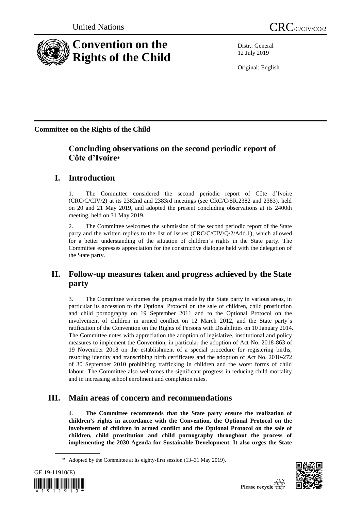

Distr.: General 12 July 2019

Original: English

**Committee on the Rights of the Child**

# **Concluding observations on the second periodic report of Côte d'Ivoire**\*

# **I. Introduction**

1. The Committee considered the second periodic report of Côte d'Ivoire (CRC/C/CIV/2) at its 2382nd and 2383rd meetings (see CRC/C/SR.2382 and 2383), held on 20 and 21 May 2019, and adopted the present concluding observations at its 2400th meeting, held on 31 May 2019.

2. The Committee welcomes the submission of the second periodic report of the State party and the written replies to the list of issues (CRC/C/CIV/Q/2/Add.1), which allowed for a better understanding of the situation of children's rights in the State party. The Committee expresses appreciation for the constructive dialogue held with the delegation of the State party.

# **II. Follow-up measures taken and progress achieved by the State party**

3. The Committee welcomes the progress made by the State party in various areas, in particular its accession to the Optional Protocol on the sale of children, child prostitution and child pornography on 19 September 2011 and to the Optional Protocol on the involvement of children in armed conflict on 12 March 2012, and the State party's ratification of the Convention on the Rights of Persons with Disabilities on 10 January 2014. The Committee notes with appreciation the adoption of legislative, institutional and policy measures to implement the Convention, in particular the adoption of Act No. 2018-863 of 19 November 2018 on the establishment of a special procedure for registering births, restoring identity and transcribing birth certificates and the adoption of Act No. 2010-272 of 30 September 2010 prohibiting trafficking in children and the worst forms of child labour. The Committee also welcomes the significant progress in reducing child mortality and in increasing school enrolment and completion rates.

# **III. Main areas of concern and recommendations**

4. **The Committee recommends that the State party ensure the realization of children's rights in accordance with the Convention, the Optional Protocol on the involvement of children in armed conflict and the Optional Protocol on the sale of children, child prostitution and child pornography throughout the process of implementing the 2030 Agenda for Sustainable Development. It also urges the State** 

<sup>\*</sup> Adopted by the Committee at its eighty-first session (13–31 May 2019).



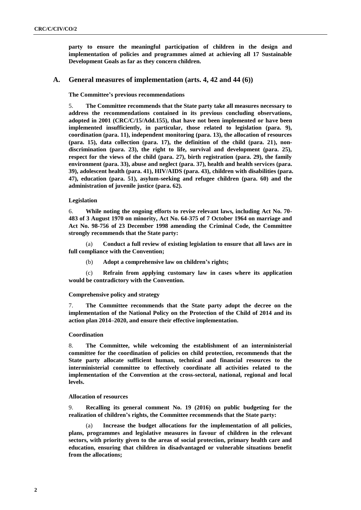**party to ensure the meaningful participation of children in the design and implementation of policies and programmes aimed at achieving all 17 Sustainable Development Goals as far as they concern children.**

### **A. General measures of implementation (arts. 4, 42 and 44 (6))**

#### **The Committee's previous recommendations**

5. **The Committee recommends that the State party take all measures necessary to address the recommendations contained in its previous concluding observations, adopted in 2001 (CRC/C/15/Add.155), that have not been implemented or have been implemented insufficiently, in particular, those related to legislation (para. 9), coordination (para. 11), independent monitoring (para. 13), the allocation of resources (para. 15), data collection (para. 17), the definition of the child (para. 21), nondiscrimination (para. 23), the right to life, survival and development (para. 25), respect for the views of the child (para. 27), birth registration (para. 29), the family environment (para. 33), abuse and neglect (para. 37), health and health services (para. 39), adolescent health (para. 41), HIV/AIDS (para. 43), children with disabilities (para. 47), education (para. 51), asylum-seeking and refugee children (para. 60) and the administration of juvenile justice (para. 62).**

### **Legislation**

6. **While noting the ongoing efforts to revise relevant laws, including Act No. 70- 483 of 3 August 1970 on minority, Act No. 64-375 of 7 October 1964 on marriage and Act No. 98-756 of 23 December 1998 amending the Criminal Code, the Committee strongly recommends that the State party:**

(a) **Conduct a full review of existing legislation to ensure that all laws are in full compliance with the Convention;**

(b) **Adopt a comprehensive law on children's rights;**

(c) **Refrain from applying customary law in cases where its application would be contradictory with the Convention.**

#### **Comprehensive policy and strategy**

7. **The Committee recommends that the State party adopt the decree on the implementation of the National Policy on the Protection of the Child of 2014 and its action plan 2014–2020, and ensure their effective implementation.**

#### **Coordination**

8. **The Committee, while welcoming the establishment of an interministerial committee for the coordination of policies on child protection, recommends that the State party allocate sufficient human, technical and financial resources to the interministerial committee to effectively coordinate all activities related to the implementation of the Convention at the cross-sectoral, national, regional and local levels.**

### **Allocation of resources**

9. **Recalling its general comment No. 19 (2016) on public budgeting for the realization of children's rights, the Committee recommends that the State party:**

(a) **Increase the budget allocations for the implementation of all policies, plans, programmes and legislative measures in favour of children in the relevant sectors, with priority given to the areas of social protection, primary health care and education, ensuring that children in disadvantaged or vulnerable situations benefit from the allocations;**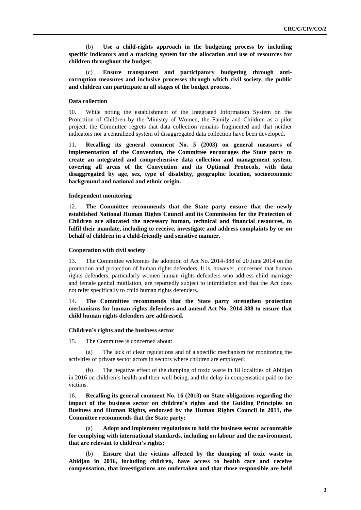(b) **Use a child-rights approach in the budgeting process by including specific indicators and a tracking system for the allocation and use of resources for children throughout the budget;**

(c) **Ensure transparent and participatory budgeting through anticorruption measures and inclusive processes through which civil society, the public and children can participate in all stages of the budget process.** 

### **Data collection**

10. While noting the establishment of the Integrated Information System on the Protection of Children by the Ministry of Women, the Family and Children as a pilot project, the Committee regrets that data collection remains fragmented and that neither indicators nor a centralized system of disaggregated data collection have been developed.

11. **Recalling its general comment No. 5 (2003) on general measures of implementation of the Convention, the Committee encourages the State party to create an integrated and comprehensive data collection and management system, covering all areas of the Convention and its Optional Protocols, with data disaggregated by age, sex, type of disability, geographic location, socioeconomic background and national and ethnic origin.** 

### **Independent monitoring**

12. **The Committee recommends that the State party ensure that the newly established National Human Rights Council and its Commission for the Protection of Children are allocated the necessary human, technical and financial resources, to fulfil their mandate, including to receive, investigate and address complaints by or on behalf of children in a child-friendly and sensitive manner.**

### **Cooperation with civil society**

13. The Committee welcomes the adoption of Act No. 2014-388 of 20 June 2014 on the promotion and protection of human rights defenders. It is, however, concerned that human rights defenders, particularly women human rights defenders who address child marriage and female genital mutilation, are reportedly subject to intimidation and that the Act does not refer specifically to child human rights defenders.

### 14. **The Committee recommends that the State party strengthen protection mechanisms for human rights defenders and amend Act No. 2014-388 to ensure that child human rights defenders are addressed.**

#### **Children's rights and the business sector**

15. The Committee is concerned about:

(a) The lack of clear regulations and of a specific mechanism for monitoring the activities of private sector actors in sectors where children are employed;

The negative effect of the dumping of toxic waste in 18 localities of Abidjan in 2016 on children's health and their well-being, and the delay in compensation paid to the victims.

16. **Recalling its general comment No. 16 (2013) on State obligations regarding the impact of the business sector on children's rights and the Guiding Principles on Business and Human Rights, endorsed by the Human Rights Council in 2011, the Committee recommends that the State party:**

(a) **Adopt and implement regulations to hold the business sector accountable for complying with international standards, including on labour and the environment, that are relevant to children's rights;**

(b) **Ensure that the victims affected by the dumping of toxic waste in Abidjan in 2016, including children, have access to health care and receive compensation, that investigations are undertaken and that those responsible are held**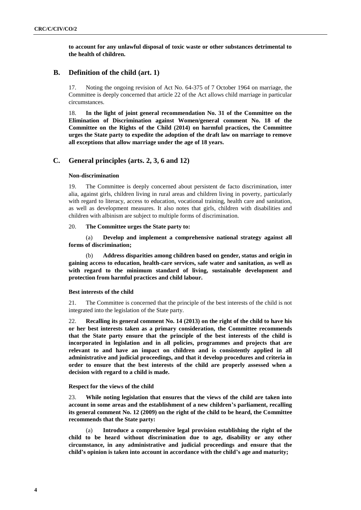**to account for any unlawful disposal of toxic waste or other substances detrimental to the health of children.**

# **B. Definition of the child (art. 1)**

17. Noting the ongoing revision of Act No. 64-375 of 7 October 1964 on marriage, the Committee is deeply concerned that article 22 of the Act allows child marriage in particular circumstances.

18. **In the light of joint general recommendation No. 31 of the Committee on the Elimination of Discrimination against Women/general comment No. 18 of the Committee on the Rights of the Child (2014) on harmful practices, the Committee urges the State party to expedite the adoption of the draft law on marriage to remove all exceptions that allow marriage under the age of 18 years.** 

# **C. General principles (arts. 2, 3, 6 and 12)**

### **Non-discrimination**

19. The Committee is deeply concerned about persistent de facto discrimination, inter alia, against girls, children living in rural areas and children living in poverty, particularly with regard to literacy, access to education, vocational training, health care and sanitation, as well as development measures. It also notes that girls, children with disabilities and children with albinism are subject to multiple forms of discrimination.

### 20. **The Committee urges the State party to:**

(a) **Develop and implement a comprehensive national strategy against all forms of discrimination;**

(b) **Address disparities among children based on gender, status and origin in gaining access to education, health-care services, safe water and sanitation, as well as with regard to the minimum standard of living, sustainable development and protection from harmful practices and child labour.** 

### **Best interests of the child**

21. The Committee is concerned that the principle of the best interests of the child is not integrated into the legislation of the State party.

22. **Recalling its general comment No. 14 (2013) on the right of the child to have his or her best interests taken as a primary consideration, the Committee recommends that the State party ensure that the principle of the best interests of the child is incorporated in legislation and in all policies, programmes and projects that are relevant to and have an impact on children and is consistently applied in all administrative and judicial proceedings, and that it develop procedures and criteria in order to ensure that the best interests of the child are properly assessed when a decision with regard to a child is made.**

### **Respect for the views of the child**

23. **While noting legislation that ensures that the views of the child are taken into account in some areas and the establishment of a new children's parliament, recalling its general comment No. 12 (2009) on the right of the child to be heard, the Committee recommends that the State party:** 

(a) **Introduce a comprehensive legal provision establishing the right of the child to be heard without discrimination due to age, disability or any other circumstance, in any administrative and judicial proceedings and ensure that the child's opinion is taken into account in accordance with the child's age and maturity;**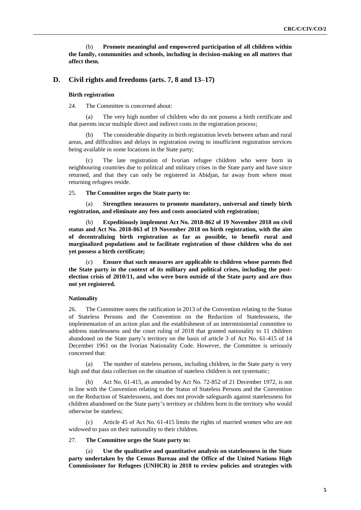(b) **Promote meaningful and empowered participation of all children within the family, communities and schools, including in decision-making on all matters that affect them.** 

### **D. Civil rights and freedoms (arts. 7, 8 and 13–17)**

#### **Birth registration**

24. The Committee is concerned about:

(a) The very high number of children who do not possess a birth certificate and that parents incur multiple direct and indirect costs in the registration process;

The considerable disparity in birth registration levels between urban and rural areas, and difficulties and delays in registration owing to insufficient registration services being available in some locations in the State party;

(c) The late registration of Ivorian refugee children who were born in neighbouring countries due to political and military crises in the State party and have since returned, and that they can only be registered in Abidjan, far away from where most returning refugees reside.

25. **The Committee urges the State party to:**

**Strengthen measures to promote mandatory, universal and timely birth registration, and eliminate any fees and costs associated with registration;**

(b) **Expeditiously implement Act No. 2018-862 of 19 November 2018 on civil status and Act No. 2018-863 of 19 November 2018 on birth registration, with the aim of decentralizing birth registration as far as possible, to benefit rural and marginalized populations and to facilitate registration of those children who do not yet possess a birth certificate;**

(c) **Ensure that such measures are applicable to children whose parents fled the State party in the context of its military and political crises, including the postelection crisis of 2010/11, and who were born outside of the State party and are thus not yet registered.** 

#### **Nationality**

26. The Committee notes the ratification in 2013 of the Convention relating to the Status of Stateless Persons and the Convention on the Reduction of Statelessness, the implementation of an action plan and the establishment of an interministerial committee to address statelessness and the court ruling of 2018 that granted nationality to 11 children abandoned on the State party's territory on the basis of article 3 of Act No. 61-415 of 14 December 1961 on the Ivorian Nationality Code. However, the Committee is seriously concerned that:

(a) The number of stateless persons, including children, in the State party is very high and that data collection on the situation of stateless children is not systematic;

(b) Act No. 61-415, as amended by Act No. 72-852 of 21 December 1972, is not in line with the Convention relating to the Status of Stateless Persons and the Convention on the Reduction of Statelessness, and does not provide safeguards against statelessness for children abandoned on the State party's territory or children born in the territory who would otherwise be stateless;

(c) Article 45 of Act No. 61-415 limits the rights of married women who are not widowed to pass on their nationality to their children.

### 27. **The Committee urges the State party to:**

(a) **Use the qualitative and quantitative analysis on statelessness in the State party undertaken by the Census Bureau and the Office of the United Nations High Commissioner for Refugees (UNHCR) in 2018 to review policies and strategies with**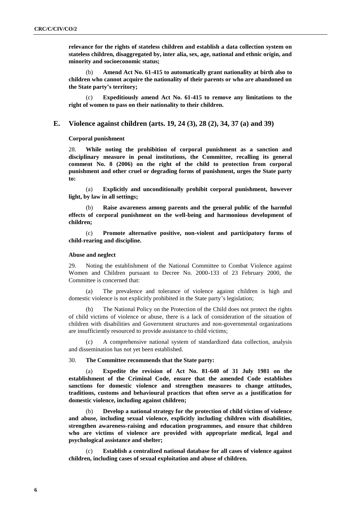**relevance for the rights of stateless children and establish a data collection system on stateless children, disaggregated by, inter alia, sex, age, national and ethnic origin, and minority and socioeconomic status;**

(b) **Amend Act No. 61-415 to automatically grant nationality at birth also to children who cannot acquire the nationality of their parents or who are abandoned on the State party's territory;**

(c) **Expeditiously amend Act No. 61-415 to remove any limitations to the right of women to pass on their nationality to their children.** 

### **E. Violence against children (arts. 19, 24 (3), 28 (2), 34, 37 (a) and 39)**

**Corporal punishment**

28. **While noting the prohibition of corporal punishment as a sanction and disciplinary measure in penal institutions, the Committee, recalling its general comment No. 8 (2006) on the right of the child to protection from corporal punishment and other cruel or degrading forms of punishment, urges the State party to:**

(a) **Explicitly and unconditionally prohibit corporal punishment, however light, by law in all settings;**

Raise awareness among parents and the general public of the harmful **effects of corporal punishment on the well-being and harmonious development of children;**

(c) **Promote alternative positive, non-violent and participatory forms of child-rearing and discipline.**

### **Abuse and neglect**

29. Noting the establishment of the National Committee to Combat Violence against Women and Children pursuant to Decree No. 2000-133 of 23 February 2000, the Committee is concerned that:

(a) The prevalence and tolerance of violence against children is high and domestic violence is not explicitly prohibited in the State party's legislation;

(b) The National Policy on the Protection of the Child does not protect the rights of child victims of violence or abuse, there is a lack of consideration of the situation of children with disabilities and Government structures and non-governmental organizations are insufficiently resourced to provide assistance to child victims;

(c) A comprehensive national system of standardized data collection, analysis and dissemination has not yet been established.

### 30. **The Committee recommends that the State party:**

(a) **Expedite the revision of Act No. 81-640 of 31 July 1981 on the establishment of the Criminal Code, ensure that the amended Code establishes sanctions for domestic violence and strengthen measures to change attitudes, traditions, customs and behavioural practices that often serve as a justification for domestic violence, including against children;**

(b) **Develop a national strategy for the protection of child victims of violence and abuse, including sexual violence, explicitly including children with disabilities, strengthen awareness-raising and education programmes, and ensure that children who are victims of violence are provided with appropriate medical, legal and psychological assistance and shelter;**

(c) **Establish a centralized national database for all cases of violence against children, including cases of sexual exploitation and abuse of children.**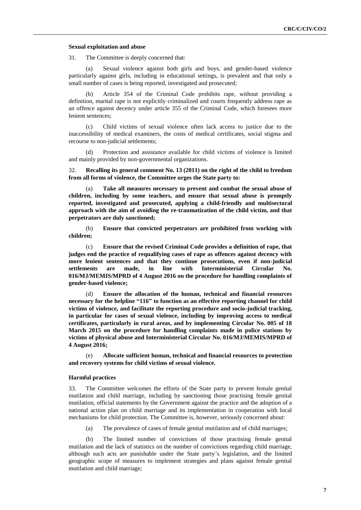#### **Sexual exploitation and abuse**

31. The Committee is deeply concerned that:

(a) Sexual violence against both girls and boys, and gender-based violence particularly against girls, including in educational settings, is prevalent and that only a small number of cases is being reported, investigated and prosecuted;

Article 354 of the Criminal Code prohibits rape, without providing a definition, marital rape is not explicitly criminalized and courts frequently address rape as an offence against decency under article 355 of the Criminal Code, which foresees more lenient sentences;

(c) Child victims of sexual violence often lack access to justice due to the inaccessibility of medical examiners, the costs of medical certificates, social stigma and recourse to non-judicial settlements;

(d) Protection and assistance available for child victims of violence is limited and mainly provided by non-governmental organizations.

32. **Recalling its general comment No. 13 (2011) on the right of the child to freedom from all forms of violence, the Committee urges the State party to:**

Take all measures necessary to prevent and combat the sexual abuse of **children, including by some teachers, and ensure that sexual abuse is promptly reported, investigated and prosecuted, applying a child-friendly and multisectoral approach with the aim of avoiding the re-traumatization of the child victim, and that perpetrators are duly sanctioned;**

(b) **Ensure that convicted perpetrators are prohibited from working with children;**

(c) **Ensure that the revised Criminal Code provides a definition of rape, that judges end the practice of requalifying cases of rape as offences against decency with more lenient sentences and that they continue prosecutions, even if non-judicial settlements are made, in line with Interministerial Circular No. 016/MJ/MEMIS/MPRD of 4 August 2016 on the procedure for handling complaints of gender-based violence;**

(d) **Ensure the allocation of the human, technical and financial resources necessary for the helpline "116" to function as an effective reporting channel for child victims of violence, and facilitate the reporting procedure and socio-judicial tracking, in particular for cases of sexual violence, including by improving access to medical certificates, particularly in rural areas, and by implementing Circular No. 005 of 18 March 2015 on the procedure for handling complaints made in police stations by victims of physical abuse and Interministerial Circular No. 016/MJ/MEMIS/MPRD of 4 August 2016;**

(e) **Allocate sufficient human, technical and financial resources to protection and recovery systems for child victims of sexual violence.**

#### **Harmful practices**

33. The Committee welcomes the efforts of the State party to prevent female genital mutilation and child marriage, including by sanctioning those practising female genital mutilation, official statements by the Government against the practice and the adoption of a national action plan on child marriage and its implementation in cooperation with local mechanisms for child protection. The Committee is, however, seriously concerned about:

(a) The prevalence of cases of female genital mutilation and of child marriages;

(b) The limited number of convictions of those practising female genital mutilation and the lack of statistics on the number of convictions regarding child marriage, although such acts are punishable under the State party's legislation, and the limited geographic scope of measures to implement strategies and plans against female genital mutilation and child marriage;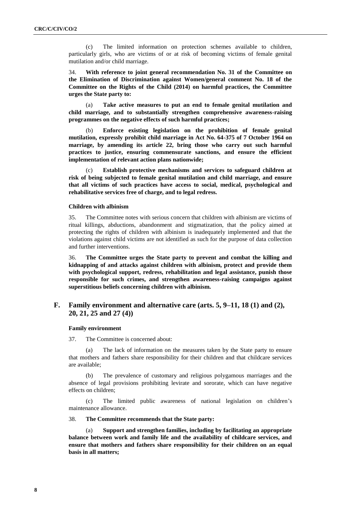(c) The limited information on protection schemes available to children, particularly girls, who are victims of or at risk of becoming victims of female genital mutilation and/or child marriage.

34. **With reference to joint general recommendation No. 31 of the Committee on the Elimination of Discrimination against Women/general comment No. 18 of the Committee on the Rights of the Child (2014) on harmful practices, the Committee urges the State party to:** 

(a) **Take active measures to put an end to female genital mutilation and child marriage, and to substantially strengthen comprehensive awareness-raising programmes on the negative effects of such harmful practices;**

(b) **Enforce existing legislation on the prohibition of female genital mutilation, expressly prohibit child marriage in Act No. 64-375 of 7 October 1964 on marriage, by amending its article 22, bring those who carry out such harmful practices to justice, ensuring commensurate sanctions, and ensure the efficient implementation of relevant action plans nationwide;**

(c) **Establish protective mechanisms and services to safeguard children at risk of being subjected to female genital mutilation and child marriage, and ensure that all victims of such practices have access to social, medical, psychological and rehabilitative services free of charge, and to legal redress.**

### **Children with albinism**

35. The Committee notes with serious concern that children with albinism are victims of ritual killings, abductions, abandonment and stigmatization, that the policy aimed at protecting the rights of children with albinism is inadequately implemented and that the violations against child victims are not identified as such for the purpose of data collection and further interventions.

36. **The Committee urges the State party to prevent and combat the killing and kidnapping of and attacks against children with albinism, protect and provide them with psychological support, redress, rehabilitation and legal assistance, punish those responsible for such crimes, and strengthen awareness-raising campaigns against superstitious beliefs concerning children with albinism.**

# **F. Family environment and alternative care (arts. 5, 9–11, 18 (1) and (2), 20, 21, 25 and 27 (4))**

#### **Family environment**

37. The Committee is concerned about:

(a) The lack of information on the measures taken by the State party to ensure that mothers and fathers share responsibility for their children and that childcare services are available;

(b) The prevalence of customary and religious polygamous marriages and the absence of legal provisions prohibiting levirate and sororate, which can have negative effects on children;

(c) The limited public awareness of national legislation on children's maintenance allowance.

38. **The Committee recommends that the State party:**

**Support and strengthen families, including by facilitating an appropriate balance between work and family life and the availability of childcare services, and ensure that mothers and fathers share responsibility for their children on an equal basis in all matters;**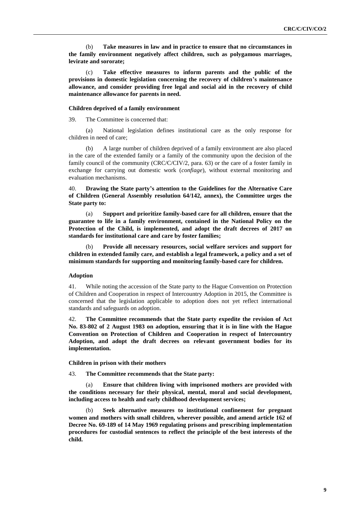(b) **Take measures in law and in practice to ensure that no circumstances in the family environment negatively affect children, such as polygamous marriages, levirate and sororate;**

(c) **Take effective measures to inform parents and the public of the provisions in domestic legislation concerning the recovery of children's maintenance allowance, and consider providing free legal and social aid in the recovery of child maintenance allowance for parents in need.** 

#### **Children deprived of a family environment**

39. The Committee is concerned that:

(a) National legislation defines institutional care as the only response for children in need of care;

(b) A large number of children deprived of a family environment are also placed in the care of the extended family or a family of the community upon the decision of the family council of the community (CRC/C/CIV/2, para. 63) or the care of a foster family in exchange for carrying out domestic work (*confiage*), without external monitoring and evaluation mechanisms.

40. **Drawing the State party's attention to the Guidelines for the Alternative Care of Children (General Assembly resolution 64/142, annex), the Committee urges the State party to:**

(a) **Support and prioritize family-based care for all children, ensure that the guarantee to life in a family environment, contained in the National Policy on the Protection of the Child, is implemented, and adopt the draft decrees of 2017 on standards for institutional care and care by foster families;**

(b) **Provide all necessary resources, social welfare services and support for children in extended family care, and establish a legal framework, a policy and a set of minimum standards for supporting and monitoring family-based care for children.**

### **Adoption**

41. While noting the accession of the State party to the Hague Convention on Protection of Children and Cooperation in respect of Intercountry Adoption in 2015, the Committee is concerned that the legislation applicable to adoption does not yet reflect international standards and safeguards on adoption.

42. **The Committee recommends that the State party expedite the revision of Act No. 83-802 of 2 August 1983 on adoption, ensuring that it is in line with the Hague Convention on Protection of Children and Cooperation in respect of Intercountry Adoption, and adopt the draft decrees on relevant government bodies for its implementation.** 

**Children in prison with their mothers**

43. **The Committee recommends that the State party:**

(a) **Ensure that children living with imprisoned mothers are provided with the conditions necessary for their physical, mental, moral and social development, including access to health and early childhood development services;**

(b) **Seek alternative measures to institutional confinement for pregnant women and mothers with small children, wherever possible, and amend article 162 of Decree No. 69-189 of 14 May 1969 regulating prisons and prescribing implementation procedures for custodial sentences to reflect the principle of the best interests of the child.**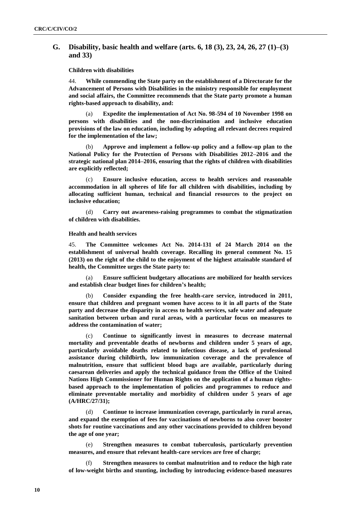# **G. Disability, basic health and welfare (arts. 6, 18 (3), 23, 24, 26, 27 (1)–(3) and 33)**

**Children with disabilities**

44. **While commending the State party on the establishment of a Directorate for the Advancement of Persons with Disabilities in the ministry responsible for employment and social affairs, the Committee recommends that the State party promote a human rights-based approach to disability, and:**

(a) **Expedite the implementation of Act No. 98-594 of 10 November 1998 on persons with disabilities and the non-discrimination and inclusive education provisions of the law on education, including by adopting all relevant decrees required for the implementation of the law;**

(b) **Approve and implement a follow-up policy and a follow-up plan to the National Policy for the Protection of Persons with Disabilities 2012–2016 and the strategic national plan 2014–2016, ensuring that the rights of children with disabilities are explicitly reflected;**

(c) **Ensure inclusive education, access to health services and reasonable accommodation in all spheres of life for all children with disabilities, including by allocating sufficient human, technical and financial resources to the project on inclusive education;**

(d) **Carry out awareness-raising programmes to combat the stigmatization of children with disabilities.** 

### **Health and health services**

45. **The Committee welcomes Act No. 2014-131 of 24 March 2014 on the establishment of universal health coverage. Recalling its general comment No. 15 (2013) on the right of the child to the enjoyment of the highest attainable standard of health, the Committee urges the State party to:**

(a) **Ensure sufficient budgetary allocations are mobilized for health services and establish clear budget lines for children's health;**

Consider expanding the free health-care service, introduced in 2011, **ensure that children and pregnant women have access to it in all parts of the State party and decrease the disparity in access to health services, safe water and adequate sanitation between urban and rural areas, with a particular focus on measures to address the contamination of water;**

(c) **Continue to significantly invest in measures to decrease maternal mortality and preventable deaths of newborns and children under 5 years of age, particularly avoidable deaths related to infectious disease, a lack of professional assistance during childbirth, low immunization coverage and the prevalence of malnutrition, ensure that sufficient blood bags are available, particularly during caesarean deliveries and apply the technical guidance from the Office of the United Nations High Commissioner for Human Rights on the application of a human rightsbased approach to the implementation of policies and programmes to reduce and eliminate preventable mortality and morbidity of children under 5 years of age (A/HRC/27/31);**

(d) **Continue to increase immunization coverage, particularly in rural areas, and expand the exemption of fees for vaccinations of newborns to also cover booster shots for routine vaccinations and any other vaccinations provided to children beyond the age of one year;**

Strengthen measures to combat tuberculosis, particularly prevention **measures, and ensure that relevant health-care services are free of charge;**

(f) **Strengthen measures to combat malnutrition and to reduce the high rate of low-weight births and stunting, including by introducing evidence-based measures**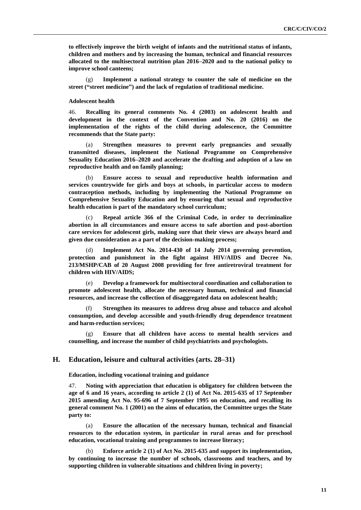**to effectively improve the birth weight of infants and the nutritional status of infants, children and mothers and by increasing the human, technical and financial resources allocated to the multisectoral nutrition plan 2016–2020 and to the national policy to improve school canteens;**

(g) **Implement a national strategy to counter the sale of medicine on the street ("street medicine") and the lack of regulation of traditional medicine.** 

### **Adolescent health**

46. **Recalling its general comments No. 4 (2003) on adolescent health and development in the context of the Convention and No. 20 (2016) on the implementation of the rights of the child during adolescence, the Committee recommends that the State party:** 

(a) **Strengthen measures to prevent early pregnancies and sexually transmitted diseases, implement the National Programme on Comprehensive Sexuality Education 2016–2020 and accelerate the drafting and adoption of a law on reproductive health and on family planning;**

(b) **Ensure access to sexual and reproductive health information and services countrywide for girls and boys at schools, in particular access to modern contraception methods, including by implementing the National Programme on Comprehensive Sexuality Education and by ensuring that sexual and reproductive health education is part of the mandatory school curriculum;**

(c) **Repeal article 366 of the Criminal Code, in order to decriminalize abortion in all circumstances and ensure access to safe abortion and post-abortion care services for adolescent girls, making sure that their views are always heard and given due consideration as a part of the decision-making process;**

(d) **Implement Act No. 2014-430 of 14 July 2014 governing prevention, protection and punishment in the fight against HIV/AIDS and Decree No. 213/MSHP/CAB of 20 August 2008 providing for free antiretroviral treatment for children with HIV/AIDS;**

(e) **Develop a framework for multisectoral coordination and collaboration to promote adolescent health, allocate the necessary human, technical and financial resources, and increase the collection of disaggregated data on adolescent health;**

Strengthen its measures to address drug abuse and tobacco and alcohol **consumption, and develop accessible and youth-friendly drug dependence treatment and harm-reduction services;**

(g) **Ensure that all children have access to mental health services and counselling, and increase the number of child psychiatrists and psychologists.** 

### **H. Education, leisure and cultural activities (arts. 28–31)**

**Education, including vocational training and guidance**

47. **Noting with appreciation that education is obligatory for children between the age of 6 and 16 years, according to article 2 (1) of Act No. 2015-635 of 17 September 2015 amending Act No. 95-696 of 7 September 1995 on education, and recalling its general comment No. 1 (2001) on the aims of education, the Committee urges the State party to:**

(a) **Ensure the allocation of the necessary human, technical and financial resources to the education system, in particular in rural areas and for preschool education, vocational training and programmes to increase literacy;**

(b) **Enforce article 2 (1) of Act No. 2015-635 and support its implementation, by continuing to increase the number of schools, classrooms and teachers, and by supporting children in vulnerable situations and children living in poverty;**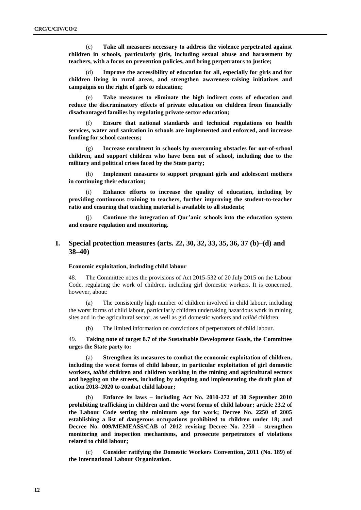(c) **Take all measures necessary to address the violence perpetrated against children in schools, particularly girls, including sexual abuse and harassment by teachers, with a focus on prevention policies, and bring perpetrators to justice;**

(d) **Improve the accessibility of education for all, especially for girls and for children living in rural areas, and strengthen awareness-raising initiatives and campaigns on the right of girls to education;**

(e) **Take measures to eliminate the high indirect costs of education and reduce the discriminatory effects of private education on children from financially disadvantaged families by regulating private sector education;**

(f) **Ensure that national standards and technical regulations on health services, water and sanitation in schools are implemented and enforced, and increase funding for school canteens;**

(g) **Increase enrolment in schools by overcoming obstacles for out-of-school children, and support children who have been out of school, including due to the military and political crises faced by the State party;**

(h) **Implement measures to support pregnant girls and adolescent mothers in continuing their education;**

(i) **Enhance efforts to increase the quality of education, including by providing continuous training to teachers, further improving the student-to-teacher ratio and ensuring that teaching material is available to all students;**

(j) **Continue the integration of Qur'anic schools into the education system and ensure regulation and monitoring.**

# **I. Special protection measures (arts. 22, 30, 32, 33, 35, 36, 37 (b)–(d) and 38–40)**

#### **Economic exploitation, including child labour**

48. The Committee notes the provisions of Act 2015-532 of 20 July 2015 on the Labour Code, regulating the work of children, including girl domestic workers. It is concerned, however, about:

(a) The consistently high number of children involved in child labour, including the worst forms of child labour, particularly children undertaking hazardous work in mining sites and in the agricultural sector, as well as girl domestic workers and *talibé* children;

(b) The limited information on convictions of perpetrators of child labour.

49. **Taking note of target 8.7 of the Sustainable Development Goals, the Committee urges the State party to:** 

(a) **Strengthen its measures to combat the economic exploitation of children, including the worst forms of child labour, in particular exploitation of girl domestic workers,** *talibé* **children and children working in the mining and agricultural sectors and begging on the streets, including by adopting and implementing the draft plan of action 2018–2020 to combat child labour;**

(b) **Enforce its laws – including Act No. 2010-272 of 30 September 2010 prohibiting trafficking in children and the worst forms of child labour; article 23.2 of the Labour Code setting the minimum age for work; Decree No. 2250 of 2005 establishing a list of dangerous occupations prohibited to children under 18; and Decree No. 009/MEMEASS/CAB of 2012 revising Decree No. 2250 – strengthen monitoring and inspection mechanisms, and prosecute perpetrators of violations related to child labour;**

(c) **Consider ratifying the Domestic Workers Convention, 2011 (No. 189) of the International Labour Organization.**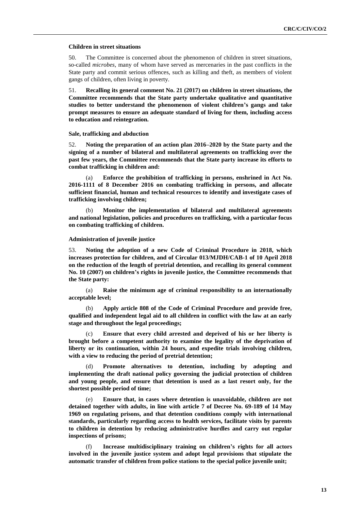#### **Children in street situations**

50. The Committee is concerned about the phenomenon of children in street situations, so-called *microbes*, many of whom have served as mercenaries in the past conflicts in the State party and commit serious offences, such as killing and theft, as members of violent gangs of children, often living in poverty.

51. **Recalling its general comment No. 21 (2017) on children in street situations, the Committee recommends that the State party undertake qualitative and quantitative studies to better understand the phenomenon of violent children's gangs and take prompt measures to ensure an adequate standard of living for them, including access to education and reintegration.** 

**Sale, trafficking and abduction**

52. **Noting the preparation of an action plan 2016–2020 by the State party and the signing of a number of bilateral and multilateral agreements on trafficking over the past few years, the Committee recommends that the State party increase its efforts to combat trafficking in children and:**

(a) **Enforce the prohibition of trafficking in persons, enshrined in Act No. 2016-1111 of 8 December 2016 on combating trafficking in persons, and allocate sufficient financial, human and technical resources to identify and investigate cases of trafficking involving children;**

(b) **Monitor the implementation of bilateral and multilateral agreements and national legislation, policies and procedures on trafficking, with a particular focus on combating trafficking of children.** 

#### **Administration of juvenile justice**

53. **Noting the adoption of a new Code of Criminal Procedure in 2018, which increases protection for children, and of Circular 013/MJDH/CAB-1 of 10 April 2018 on the reduction of the length of pretrial detention, and recalling its general comment No. 10 (2007) on children's rights in juvenile justice, the Committee recommends that the State party:**

(a) **Raise the minimum age of criminal responsibility to an internationally acceptable level;**

(b) **Apply article 808 of the Code of Criminal Procedure and provide free, qualified and independent legal aid to all children in conflict with the law at an early stage and throughout the legal proceedings;**

(c) **Ensure that every child arrested and deprived of his or her liberty is brought before a competent authority to examine the legality of the deprivation of liberty or its continuation, within 24 hours, and expedite trials involving children, with a view to reducing the period of pretrial detention;**

Promote alternatives to detention, including by adopting and **implementing the draft national policy governing the judicial protection of children and young people, and ensure that detention is used as a last resort only, for the shortest possible period of time;**

(e) **Ensure that, in cases where detention is unavoidable, children are not detained together with adults, in line with article 7 of Decree No. 69-189 of 14 May 1969 on regulating prisons, and that detention conditions comply with international standards, particularly regarding access to health services, facilitate visits by parents to children in detention by reducing administrative hurdles and carry out regular inspections of prisons;**

Increase multidisciplinary training on children's rights for all actors **involved in the juvenile justice system and adopt legal provisions that stipulate the automatic transfer of children from police stations to the special police juvenile unit;**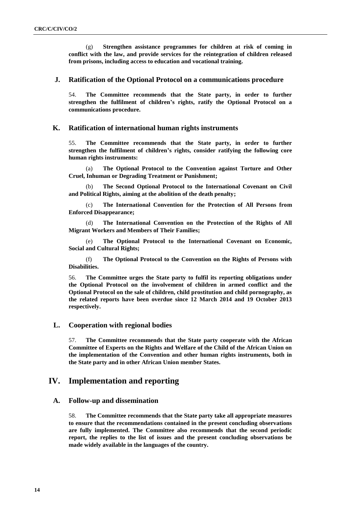(g) **Strengthen assistance programmes for children at risk of coming in conflict with the law, and provide services for the reintegration of children released from prisons, including access to education and vocational training.** 

# **J. Ratification of the Optional Protocol on a communications procedure**

54. **The Committee recommends that the State party, in order to further strengthen the fulfilment of children's rights, ratify the Optional Protocol on a communications procedure.**

# **K. Ratification of international human rights instruments**

55. **The Committee recommends that the State party, in order to further strengthen the fulfilment of children's rights, consider ratifying the following core human rights instruments:**

(a) **The Optional Protocol to the Convention against Torture and Other Cruel, Inhuman or Degrading Treatment or Punishment;**

The Second Optional Protocol to the International Covenant on Civil **and Political Rights, aiming at the abolition of the death penalty;**

(c) **The International Convention for the Protection of All Persons from Enforced Disappearance;**

(d) **The International Convention on the Protection of the Rights of All Migrant Workers and Members of Their Families;**

(e) **The Optional Protocol to the International Covenant on Economic, Social and Cultural Rights;**

(f) **The Optional Protocol to the Convention on the Rights of Persons with Disabilities.** 

56. **The Committee urges the State party to fulfil its reporting obligations under the Optional Protocol on the involvement of children in armed conflict and the Optional Protocol on the sale of children, child prostitution and child pornography, as the related reports have been overdue since 12 March 2014 and 19 October 2013 respectively.**

# **L. Cooperation with regional bodies**

57. **The Committee recommends that the State party cooperate with the African Committee of Experts on the Rights and Welfare of the Child of the African Union on the implementation of the Convention and other human rights instruments, both in the State party and in other African Union member States.**

# **IV. Implementation and reporting**

# **A. Follow-up and dissemination**

58. **The Committee recommends that the State party take all appropriate measures to ensure that the recommendations contained in the present concluding observations are fully implemented. The Committee also recommends that the second periodic report, the replies to the list of issues and the present concluding observations be made widely available in the languages of the country.**